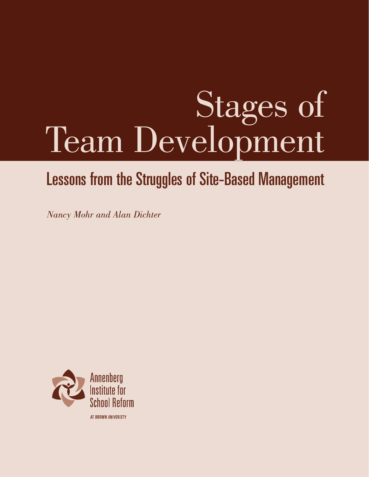# Stages of Team Development

### Lessons from the Struggles of Site-Based Management

*Nancy Mohr and Alan Dichter*

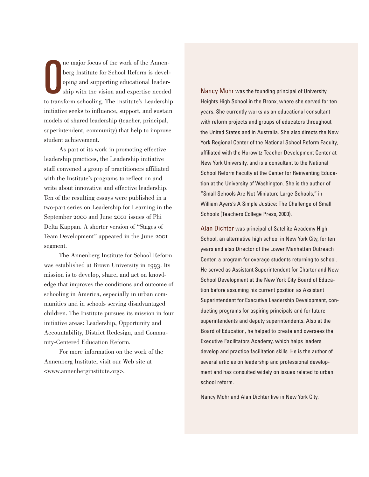$\bigcup$ ne major focus of the work of the Annenberg Institute for School Reform is developing and supporting educational leadership with the vision and expertise needed to transform schooling. The Institute's Leadership initiative seeks to influence, support, and sustain models of shared leadership (teacher, principal, superintendent, community) that help to improve student achievement.

As part of its work in promoting effective leadership practices, the Leadership initiative staff convened a group of practitioners affiliated with the Institute's programs to reflect on and write about innovative and effective leadership. Ten of the resulting essays were published in a two-part series on Leadership for Learning in the September 2000 and June 2001 issues of Phi Delta Kappan. A shorter version of "Stages of Team Development" appeared in the June segment.

The Annenberg Institute for School Reform was established at Brown University in 1993. Its mission is to develop, share, and act on knowledge that improves the conditions and outcome of schooling in America, especially in urban communities and in schools serving disadvantaged children. The Institute pursues its mission in four initiative areas: Leadership, Opportunity and Accountability, District Redesign, and Community-Centered Education Reform.

For more information on the work of the Annenberg Institute, visit our Web site at <www.annenberginstitute.org>.

Nancy Mohr was the founding principal of University Heights High School in the Bronx, where she served for ten years. She currently works as an educational consultant with reform projects and groups of educators throughout the United States and in Australia. She also directs the New York Regional Center of the National School Reform Faculty, affiliated with the Horowitz Teacher Development Center at New York University, and is a consultant to the National School Reform Faculty at the Center for Reinventing Education at the University of Washington. She is the author of "Small Schools Are Not Miniature Large Schools," in William Ayers's A Simple Justice: The Challenge of Small Schools (Teachers College Press, 2000).

Alan Dichter was principal of Satellite Academy High School, an alternative high school in New York City, for ten years and also Director of the Lower Manhattan Outreach Center, a program for overage students returning to school. He served as Assistant Superintendent for Charter and New School Development at the New York City Board of Education before assuming his current position as Assistant Superintendent for Executive Leadership Development, conducting programs for aspiring principals and for future superintendents and deputy superintendents. Also at the Board of Education, he helped to create and oversees the Executive Facilitators Academy, which helps leaders develop and practice facilitation skills. He is the author of several articles on leadership and professional development and has consulted widely on issues related to urban school reform.

Nancy Mohr and Alan Dichter live in New York City.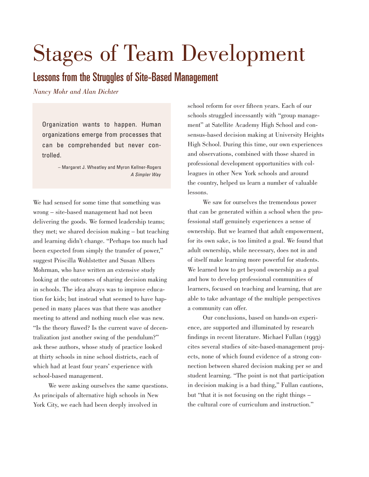## Stages of Team Development

#### Lessons from the Struggles of Site-Based Management

*Nancy Mohr and Alan Dichter*

Organization wants to happen. Human organizations emerge from processes that can be comprehended but never controlled.

> – Margaret J. Wheatley and Myron Kellner-Rogers *A Simpler Way*

We had sensed for some time that something was wrong – site-based management had not been delivering the goods. We formed leadership teams; they met; we shared decision making – but teaching and learning didn't change. "Perhaps too much had been expected from simply the transfer of power," suggest Priscilla Wohlstetter and Susan Albers Mohrman, who have written an extensive study looking at the outcomes of sharing decision making in schools. The idea always was to improve education for kids; but instead what seemed to have happened in many places was that there was another meeting to attend and nothing much else was new. "Is the theory flawed? Is the current wave of decentralization just another swing of the pendulum?" ask these authors, whose study of practice looked at thirty schools in nine school districts, each of which had at least four years' experience with school-based management.

We were asking ourselves the same questions. As principals of alternative high schools in New York City, we each had been deeply involved in

school reform for over fifteen years. Each of our schools struggled incessantly with "group management" at Satellite Academy High School and consensus-based decision making at University Heights High School. During this time, our own experiences and observations, combined with those shared in professional development opportunities with colleagues in other New York schools and around the country, helped us learn a number of valuable lessons.

We saw for ourselves the tremendous power that can be generated within a school when the professional staff genuinely experiences a sense of ownership. But we learned that adult empowerment, for its own sake, is too limited a goal. We found that adult ownership, while necessary, does not in and of itself make learning more powerful for students. We learned how to get beyond ownership as a goal and how to develop professional communities of learners, focused on teaching and learning, that are able to take advantage of the multiple perspectives a community can offer.

Our conclusions, based on hands-on experience, are supported and illuminated by research findings in recent literature. Michael Fullan  $(1993)$ cites several studies of site-based-management projects, none of which found evidence of a strong connection between shared decision making per se and student learning. "The point is not that participation in decision making is a bad thing," Fullan cautions, but "that it is not focusing on the right things – the cultural core of curriculum and instruction."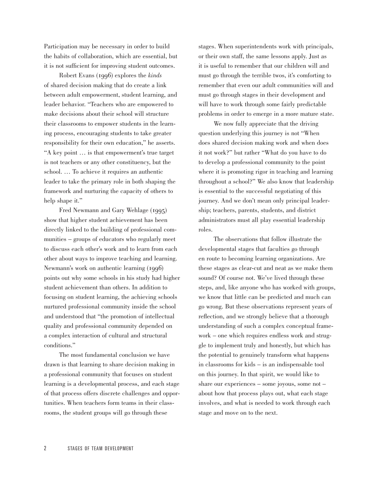Participation may be necessary in order to build the habits of collaboration, which are essential, but it is not sufficient for improving student outcomes.

Robert Evans (1996) explores the *kinds* of shared decision making that do create a link between adult empowerment, student learning, and leader behavior. "Teachers who are empowered to make decisions about their school will structure their classrooms to empower students in the learning process, encouraging students to take greater responsibility for their own education," he asserts. "A key point … is that empowerment's true target is not teachers or any other constituency, but the school. … To achieve it requires an authentic leader to take the primary role in both shaping the framework and nurturing the capacity of others to help shape it."

Fred Newmann and Gary Wehlage (1995) show that higher student achievement has been directly linked to the building of professional communities – groups of educators who regularly meet to discuss each other's work and to learn from each other about ways to improve teaching and learning. Newmann's work on authentic learning (1996) points out why some schools in his study had higher student achievement than others. In addition to focusing on student learning, the achieving schools nurtured professional community inside the school and understood that "the promotion of intellectual quality and professional community depended on a complex interaction of cultural and structural conditions."

The most fundamental conclusion we have drawn is that learning to share decision making in a professional community that focuses on student learning is a developmental process, and each stage of that process offers discrete challenges and opportunities. When teachers form teams in their classrooms, the student groups will go through these

stages. When superintendents work with principals, or their own staff, the same lessons apply. Just as it is useful to remember that our children will and must go through the terrible twos, it's comforting to remember that even our adult communities will and must go through stages in their development and will have to work through some fairly predictable problems in order to emerge in a more mature state.

We now fully appreciate that the driving question underlying this journey is not "When does shared decision making work and when does it not work?" but rather "What do you have to do to develop a professional community to the point where it is promoting rigor in teaching and learning throughout a school?" We also know that leadership is essential to the successful negotiating of this journey. And we don't mean only principal leadership; teachers, parents, students, and district administrators must all play essential leadership roles.

The observations that follow illustrate the developmental stages that faculties go through en route to becoming learning organizations. Are these stages as clear-cut and neat as we make them sound? Of course not. We've lived through these steps, and, like anyone who has worked with groups, we know that little can be predicted and much can go wrong. But these observations represent years of reflection, and we strongly believe that a thorough understanding of such a complex conceptual framework – one which requires endless work and struggle to implement truly and honestly, but which has the potential to genuinely transform what happens in classrooms for kids – is an indispensable tool on this journey. In that spirit, we would like to share our experiences – some joyous, some not – about how that process plays out, what each stage involves, and what is needed to work through each stage and move on to the next.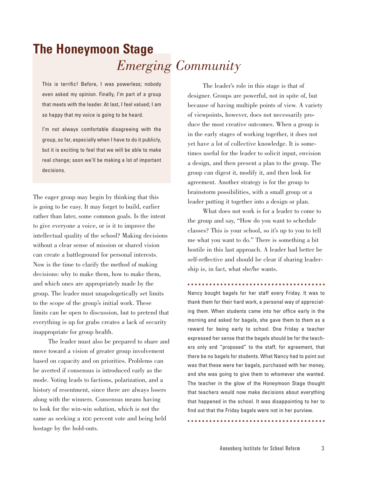### **The Honeymoon Stage** *Emerging Community*

This is terrific! Before, I was powerless; nobody even asked my opinion. Finally, I'm part of a group that meets with the leader. At last, I feel valued; I am so happy that my voice is going to be heard.

I'm not always comfortable disagreeing with the group, so far, especially when I have to do it publicly, but it is exciting to feel that we will be able to make real change; soon we'll be making a lot of important decisions.

The eager group may begin by thinking that this is going to be easy. It may forget to build, earlier rather than later, some common goals. Is the intent to give everyone a voice, or is it to improve the intellectual quality of the school? Making decisions without a clear sense of mission or shared vision can create a battleground for personal interests. Now is the time to clarify the method of making decisions: why to make them, how to make them, and which ones are appropriately made by the group. The leader must unapologetically set limits to the scope of the group's initial work. These limits can be open to discussion, but to pretend that everything is up for grabs creates a lack of security inappropriate for group health.

The leader must also be prepared to share and move toward a vision of greater group involvement based on capacity and on priorities. Problems can be averted if consensus is introduced early as the mode. Voting leads to factions, polarization, and a history of resentment, since there are always losers along with the winners. Consensus means having to look for the win-win solution, which is not the same as seeking a 100 percent vote and being held hostage by the hold-outs.

The leader's role in this stage is that of designer. Groups are powerful, not in spite of, but because of having multiple points of view. A variety of viewpoints, however, does not necessarily produce the most creative outcomes. When a group is in the early stages of working together, it does not yet have a lot of collective knowledge. It is sometimes useful for the leader to solicit input, envision a design, and then present a plan to the group. The group can digest it, modify it, and then look for agreement. Another strategy is for the group to brainstorm possibilities, with a small group or a leader putting it together into a design or plan.

What does not work is for a leader to come to the group and say, "How do you want to schedule classes? This is your school, so it's up to you to tell me what you want to do." There is something a bit hostile in this last approach. A leader had better be self-reflective and should be clear if sharing leadership is, in fact, what she/he wants.

Nancy bought bagels for her staff every Friday. It was to thank them for their hard work, a personal way of appreciating them. When students came into her office early in the morning and asked for bagels, she gave them to them as a reward for being early to school. One Friday a teacher expressed her sense that the bagels should be for the teachers only and "proposed" to the staff, for agreement, that there be no bagels for students. What Nancy had to point out was that these were her bagels, purchased with her money, and she was going to give them to whomever she wanted. The teacher in the glow of the Honeymoon Stage thought that teachers would now make decisions about everything that happened in the school. It was disappointing to her to find out that the Friday bagels were not in her purview.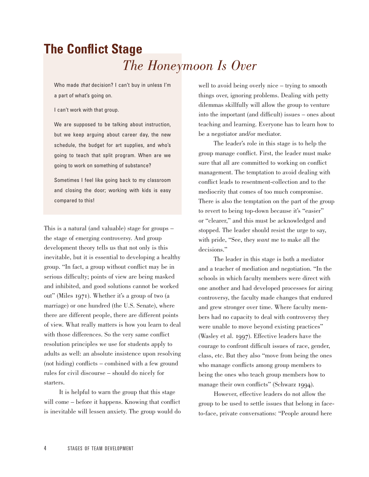### **The Conflict Stage** *The Honeymoon Is Over*

Who made *that* decision? I can't buy in unless I'm a part of what's going on.

I can't work with that group.

We are supposed to be talking about instruction, but we keep arguing about career day, the new schedule, the budget for art supplies, and who's going to teach that split program. When are we going to work on something of substance?

Sometimes I feel like going back to my classroom and closing the door; working with kids is easy compared to this!

This is a natural (and valuable) stage for groups – the stage of emerging controversy. And group development theory tells us that not only is this inevitable, but it is essential to developing a healthy group. "In fact, a group without conflict may be in serious difficulty; points of view are being masked and inhibited, and good solutions cannot be worked out" (Miles 1971). Whether it's a group of two (a marriage) or one hundred (the U.S. Senate), where there are different people, there are different points of view. What really matters is how you learn to deal with those differences. So the very same conflict resolution principles we use for students apply to adults as well: an absolute insistence upon resolving (not hiding) conflicts – combined with a few ground rules for civil discourse – should do nicely for starters.

It is helpful to warn the group that this stage will come – before it happens. Knowing that conflict is inevitable will lessen anxiety. The group would do well to avoid being overly nice – trying to smooth things over, ignoring problems. Dealing with petty dilemmas skillfully will allow the group to venture into the important (and difficult) issues – ones about teaching and learning. Everyone has to learn how to be a negotiator and/or mediator.

The leader's role in this stage is to help the group manage conflict. First, the leader must make sure that all are committed to working on conflict management. The temptation to avoid dealing with conflict leads to resentment-collection and to the mediocrity that comes of too much compromise. There is also the temptation on the part of the group to revert to being top-down because it's "easier" or "clearer," and this must be acknowledged and stopped. The leader should resist the urge to say, with pride, "See, they *want* me to make all the decisions."

The leader in this stage is both a mediator and a teacher of mediation and negotiation. "In the schools in which faculty members were direct with one another and had developed processes for airing controversy, the faculty made changes that endured and grew stronger over time. Where faculty members had no capacity to deal with controversy they were unable to move beyond existing practices" (Wasley et al. 1997). Effective leaders have the courage to confront difficult issues of race, gender, class, etc. But they also "move from being the ones who manage conflicts among group members to being the ones who teach group members how to manage their own conflicts" (Schwarz 1994).

However, effective leaders do not allow the group to be used to settle issues that belong in faceto-face, private conversations: "People around here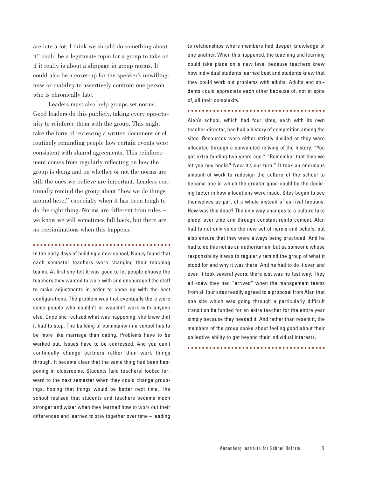are late a lot; I think we should do something about it" could be a legitimate topic for a group to take on if it really is about a slippage in group norms. It could also be a cover-up for the speaker's unwillingness or inability to assertively confront one person who is chronically late.

Leaders must also help groups set norms. Good leaders do this publicly, taking every opportunity to reinforce them with the group. This might take the form of reviewing a written document or of routinely reminding people how certain events were consistent with shared agreements. This reinforcement comes from regularly reflecting on how the group is doing and on whether or not the norms are still the ones we believe are important. Leaders continually remind the group about "how we do things around here," especially when it has been tough to do the right thing. Norms are different from rules – we know we will sometimes fall back, but there are no recriminations when this happens.

#### 

In the early days of building a new school, Nancy found that each semester teachers were changing their teaching teams. At first she felt it was good to let people choose the teachers they wanted to work with and encouraged the staff to make adjustments in order to come up with the best configurations. The problem was that eventually there were some people who couldn't or wouldn't work with anyone else. Once she realized what was happening, she knew that it had to stop. The building of community in a school has to be more like marriage than dating. Problems have to be worked out. Issues have to be addressed. And you can't continually change partners rather than work things through. It became clear that the same thing had been happening in classrooms. Students (and teachers) looked forward to the next semester when they could change groupings, hoping that things would be better next time. The school realized that students and teachers became much stronger and wiser when they learned how to work out their differences and learned to stay together over time – leading to relationships where members had deeper knowledge of one another. When this happened, the teaching and learning could take place on a new level because teachers knew how individual students learned best and students knew that they could work out problems with adults. Adults and students could appreciate each other because of, not in spite of, all their complexity.

#### 

Alan's school, which had four sites, each with its own teacher-director, had had a history of competition among the sites. Resources were either strictly divided or they were allocated through a convoluted reliving of the history: "You got extra funding two years ago." "Remember that time we let you buy books? Now it's our turn." It took an enormous amount of work to redesign the culture of the school to become one in which the greater good could be the deciding factor in how allocations were made. Sites began to see themselves as part of a whole instead of as rival factions. How was this done? The only way changes to a culture take place: over time and through constant reinforcement. Alan had to not only voice the new set of norms and beliefs, but also ensure that they were always being practiced. And he had to do this not as an authoritarian, but as someone whose responsibility it was to regularly remind the group of what it stood for and why it was there. And he had to do it over and over. It took several years; there just was no fast way. They all knew they had "arrived" when the management teams from all four sites readily agreed to a proposal from Alan that one site which was going through a particularly difficult transition be funded for an extra teacher for the entire year simply because they needed it. And rather than resent it, the members of the group spoke about feeling good about their collective ability to get beyond their individual interests.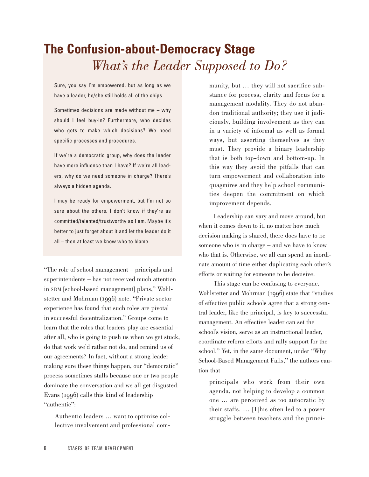### **The Confusion-about-Democracy Stage** *What's the Leader Supposed to Do?*

Sure, you say I'm empowered, but as long as we have a leader, he/she still holds all of the chips.

Sometimes decisions are made without me – why should I feel buy-in? Furthermore, who decides who gets to make which decisions? We need specific processes and procedures.

If we're a democratic group, why does the leader have more influence than I have? If we're all leaders, why do we need someone in charge? There's always a hidden agenda.

I may be ready for empowerment, but I'm not so sure about the others. I don't know if they're as committed/talented/trustworthy as I am. Maybe it's better to just forget about it and let the leader do it all – then at least we know who to blame.

"The role of school management – principals and superintendents – has not received much attention in SBM [school-based management] plans," Wohlstetter and Mohrman (1996) note. "Private sector experience has found that such roles are pivotal in successful decentralization." Groups come to learn that the roles that leaders play are essential – after all, who is going to push us when we get stuck, do that work we'd rather not do, and remind us of our agreements? In fact, without a strong leader making sure these things happen, our "democratic" process sometimes stalls because one or two people dominate the conversation and we all get disgusted. Evans  $(1996)$  calls this kind of leadership "authentic":

Authentic leaders … want to optimize collective involvement and professional com-

munity, but … they will not sacrifice substance for process, clarity and focus for a management modality. They do not abandon traditional authority; they use it judiciously, building involvement as they can in a variety of informal as well as formal ways, but asserting themselves as they must. They provide a binary leadership that is both top-down and bottom-up. In this way they avoid the pitfalls that can turn empowerment and collaboration into quagmires and they help school communities deepen the commitment on which improvement depends.

Leadership can vary and move around, but when it comes down to it, no matter how much decision making is shared, there does have to be someone who is in charge – and we have to know who that is. Otherwise, we all can spend an inordinate amount of time either duplicating each other's efforts or waiting for someone to be decisive.

This stage can be confusing to everyone. Wohlstetter and Mohrman (1996) state that "studies of effective public schools agree that a strong central leader, like the principal, is key to successful management. An effective leader can set the school's vision, serve as an instructional leader, coordinate reform efforts and rally support for the school." Yet, in the same document, under "Why School-Based Management Fails," the authors caution that

principals who work from their own agenda, not helping to develop a common one … are perceived as too autocratic by their staffs. … [T]his often led to a power struggle between teachers and the princi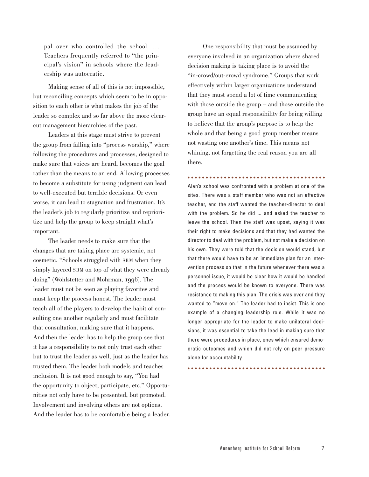pal over who controlled the school. … Teachers frequently referred to "the principal's vision" in schools where the leadership was autocratic.

Making sense of all of this is not impossible, but reconciling concepts which seem to be in opposition to each other is what makes the job of the leader so complex and so far above the more clearcut management hierarchies of the past.

Leaders at this stage must strive to prevent the group from falling into "process worship," where following the procedures and processes, designed to make sure that voices are heard, becomes the goal rather than the means to an end. Allowing processes to become a substitute for using judgment can lead to well-executed but terrible decisions. Or even worse, it can lead to stagnation and frustration. It's the leader's job to regularly prioritize and reprioritize and help the group to keep straight what's important.

The leader needs to make sure that the changes that are taking place are systemic, not cosmetic. "Schools struggled with SBM when they simply layered SBM on top of what they were already doing" (Wohlstetter and Mohrman, 1996). The leader must not be seen as playing favorites and must keep the process honest. The leader must teach all of the players to develop the habit of consulting one another regularly and must facilitate that consultation, making sure that it happens. And then the leader has to help the group see that it has a responsibility to not only trust each other but to trust the leader as well, just as the leader has trusted them. The leader both models and teaches inclusion. It is not good enough to say, "You had the opportunity to object, participate, etc." Opportunities not only have to be presented, but promoted. Involvement and involving others are not options. And the leader has to be comfortable being a leader.

One responsibility that must be assumed by everyone involved in an organization where shared decision making is taking place is to avoid the "in-crowd/out-crowd syndrome." Groups that work effectively within larger organizations understand that they must spend a lot of time communicating with those outside the group – and those outside the group have an equal responsibility for being willing to believe that the group's purpose is to help the whole and that being a good group member means not wasting one another's time. This means not whining, not forgetting the real reason you are all there.

#### 

Alan's school was confronted with a problem at one of the sites. There was a staff member who was not an effective teacher, and the staff wanted the teacher-director to deal with the problem. So he did ... and asked the teacher to leave the school. Then the staff was upset, saying it was their right to make decisions and that they had wanted the director to deal with the problem, but not make a decision on his own. They were told that the decision would stand, but that there would have to be an immediate plan for an intervention process so that in the future whenever there was a personnel issue, it would be clear how it would be handled and the process would be known to everyone. There was resistance to making this plan. The crisis was over and they wanted to "move on." The leader had to insist. This is one example of a changing leadership role. While it was no longer appropriate for the leader to make unilateral decisions, it was essential to take the lead in making sure that there were procedures in place, ones which ensured democratic outcomes and which did not rely on peer pressure alone for accountability.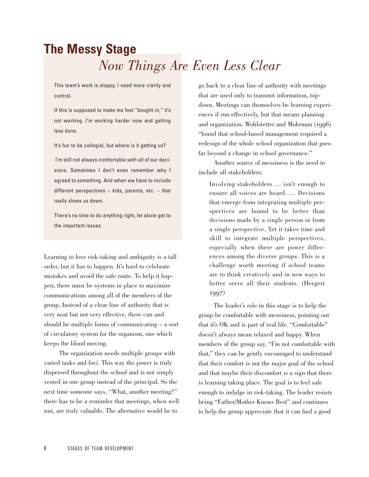### **The Messy Stage** *Now Things Are Even Less Clear*

This team's work is sloppy; I need more clarity and control.

If this is supposed to make me feel "bought-in," it's not working. I'm working harder now and getting less done.

It's fun to be collegial, but where is it getting us?

I'm still not always comfortable with all of our decisions. Sometimes I don't even remember why I agreed to something. And when we have to include different perspectives – kids, parents, etc. – that really slows us down.

There's no time to do anything right, let alone get to the important issues.

Learning to love risk-taking and ambiguity is a tall order, but it has to happen. It's hard to celebrate mistakes and avoid the safe route. To help it happen, there must be systems in place to maximize communications among all of the members of the group. Instead of a clear line of authority that is very neat but not very effective, there can and should be multiple forms of communicating – a sort of circulatory system for the organism, one which keeps the blood moving.

The organization needs multiple groups with varied tasks and foci. This way the power is truly dispersed throughout the school and is not simply vested in one group instead of the principal. So the next time someone says, "What, another meeting?" there has to be a reminder that meetings, when well run, are truly valuable. The alternative would be to

go back to a clear line of authority with meetings that are used only to transmit information, topdown. Meetings can themselves be learning experiences if run effectively, but that means planning and organization. Wohlstetter and Mohrman (1996) "found that school-based management required a redesign of the whole school organization that goes far beyond a change in school governance."

Another source of messiness is the need to include all stakeholders.

Involving stakeholders … isn't enough to ensure all voices are heard. … Decisions that emerge from integrating multiple perspectives are bound to be better than decisions made by a single person or from a single perspective. Yet it takes time and skill to integrate multiple perspectives, especially when there are power differences among the diverse groups. This is a challenge worth meeting if school teams are to think creatively and in new ways to better serve all their students. (Hergert 1997)

The leader's role in this stage is to help the group be comfortable with messiness, pointing out that it's OK and is part of real life. "Comfortable" doesn't always mean relaxed and happy. When members of the group say, "I'm not comfortable with that," they can be gently encouraged to understand that their comfort is not the major goal of the school and that maybe their discomfort is a sign that there is learning taking place. The goal is to feel safe enough to indulge in risk-taking. The leader resists being "Father/Mother Knows Best" and continues to help the group appreciate that it can find a good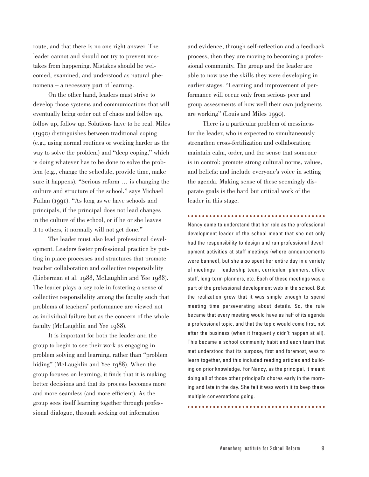route, and that there is no one right answer. The leader cannot and should not try to prevent mistakes from happening. Mistakes should be welcomed, examined, and understood as natural phenomena – a necessary part of learning.

On the other hand, leaders must strive to develop those systems and communications that will eventually bring order out of chaos and follow up, follow up, follow up. Solutions have to be real. Miles () distinguishes between traditional coping (e.g., using normal routines or working harder as the way to solve the problem) and "deep coping," which is doing whatever has to be done to solve the problem (e.g., change the schedule, provide time, make sure it happens). "Serious reform … is changing the culture and structure of the school," says Michael Fullan (1991). "As long as we have schools and principals, if the principal does not lead changes in the culture of the school, or if he or she leaves it to others, it normally will not get done."

The leader must also lead professional development. Leaders foster professional practice by putting in place processes and structures that promote teacher collaboration and collective responsibility (Lieberman et al.  $1988$ , McLaughlin and Yee  $1988$ ). The leader plays a key role in fostering a sense of collective responsibility among the faculty such that problems of teachers' performance are viewed not as individual failure but as the concern of the whole faculty (McLaughlin and Yee 1988).

It is important for both the leader and the group to begin to see their work as engaging in problem solving and learning, rather than "problem hiding" (McLaughlin and Yee 1988). When the group focuses on learning, it finds that it is making better decisions and that its process becomes more and more seamless (and more efficient). As the group sees itself learning together through professional dialogue, through seeking out information

and evidence, through self-reflection and a feedback process, then they are moving to becoming a professional community. The group and the leader are able to now use the skills they were developing in earlier stages. "Learning and improvement of performance will occur only from serious peer and group assessments of how well their own judgments are working" (Louis and Miles 1990).

There is a particular problem of messiness for the leader, who is expected to simultaneously strengthen cross-fertilization and collaboration; maintain calm, order, and the sense that someone is in control; promote strong cultural norms, values, and beliefs; and include everyone's voice in setting the agenda. Making sense of these seemingly disparate goals is the hard but critical work of the leader in this stage.

Nancy came to understand that her role as the professional development leader of the school meant that she not only had the responsibility to design and run professional development activities at staff meetings (where announcements were banned), but she also spent her entire day in a variety of meetings – leadership team, curriculum planners, office staff, long-term planners, etc. Each of these meetings was a part of the professional development web in the school. But the realization grew that it was simple enough to spend meeting time perseverating about details. So, the rule became that every meeting would have as half of its agenda a professional topic, and that the topic would come first, not after the business (when it frequently didn't happen at all). This became a school community habit and each team that met understood that its purpose, first and foremost, was to learn together, and this included reading articles and building on prior knowledge. For Nancy, as the principal, it meant doing all of those other principal's chores early in the morning and late in the day. She felt it was worth it to keep these multiple conversations going.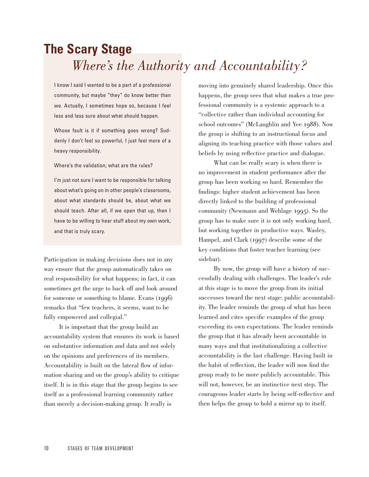### **The Scary Stage** *Where's the Authority and Accountability?*

I know I said I wanted to be a part of a professional community, but maybe "they" do know better than we. Actually, I sometimes hope so, because I feel less and less sure about what should happen.

Whose fault is it if something goes wrong? Suddenly I don't feel so powerful, I just feel more of a heavy responsibility.

Where's the validation; what are the rules?

I'm just not sure I want to be responsible for talking about what's going on in other people's classrooms, about what standards should be, about what we should teach. After all, if we open that up, then I have to be willing to hear stuff about my own work, and that is truly scary.

Participation in making decisions does not in any way ensure that the group automatically takes on real responsibility for what happens; in fact, it can sometimes get the urge to back off and look around for someone or something to blame. Evans  $(1996)$ remarks that "few teachers, it seems, want to be fully empowered and collegial."

It is important that the group build an accountability system that ensures its work is based on substantive information and data and not solely on the opinions and preferences of its members. Accountability is built on the lateral flow of information sharing and on the group's ability to critique itself. It is in this stage that the group begins to see itself as a professional learning community rather than merely a decision-making group. It really is

moving into genuinely shared leadership. Once this happens, the group sees that what makes a true professional community is a systemic approach to a "collective rather than individual accounting for school outcomes" (McLaughlin and Yee 1988). Now the group is shifting to an instructional focus and aligning its teaching practice with those values and beliefs by using reflective practice and dialogue.

What can be really scary is when there is no improvement in student performance after the group has been working so hard. Remember the findings: higher student achievement has been directly linked to the building of professional community (Newmann and Wehlage 1995). So the group has to make sure it is not only working hard, but working together in productive ways. Wasley, Hampel, and Clark  $(1997)$  describe some of the key conditions that foster teacher learning (see sidebar).

By now, the group will have a history of successfully dealing with challenges. The leader's role at this stage is to move the group from its initial successes toward the next stage: public accountability. The leader reminds the group of what has been learned and cites specific examples of the group exceeding its own expectations. The leader reminds the group that it has already been accountable in many ways and that institutionalizing a collective accountability is the last challenge. Having built in the habit of reflection, the leader will now find the group ready to be more publicly accountable. This will not, however, be an instinctive next step. The courageous leader starts by being self-reflective and then helps the group to hold a mirror up to itself.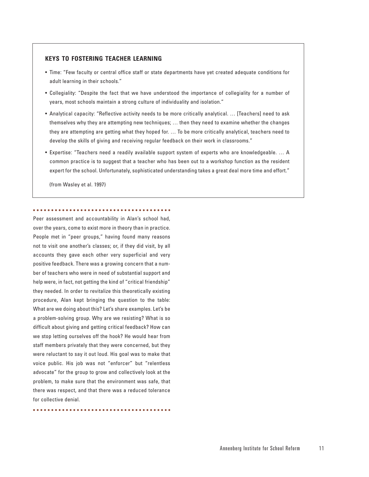#### **KEYS TO FOSTERING TEACHER LEARNING**

- Time: "Few faculty or central office staff or state departments have yet created adequate conditions for adult learning in their schools."
- Collegiality: "Despite the fact that we have understood the importance of collegiality for a number of years, most schools maintain a strong culture of individuality and isolation."
- Analytical capacity: "Reflective activity needs to be more critically analytical. … [Teachers] need to ask themselves why they are attempting new techniques; … then they need to examine whether the changes they are attempting are getting what they hoped for. … To be more critically analytical, teachers need to develop the skills of giving and receiving regular feedback on their work in classrooms."
- Expertise: "Teachers need a readily available support system of experts who are knowledgeable. … A common practice is to suggest that a teacher who has been out to a workshop function as the resident expert for the school. Unfortunately, sophisticated understanding takes a great deal more time and effort."

(from Wasley et al. 1997)

#### 

Peer assessment and accountability in Alan's school had, over the years, come to exist more in theory than in practice. People met in "peer groups," having found many reasons not to visit one another's classes; or, if they did visit, by all accounts they gave each other very superficial and very positive feedback. There was a growing concern that a number of teachers who were in need of substantial support and help were, in fact, not getting the kind of "critical friendship" they needed. In order to revitalize this theoretically existing procedure, Alan kept bringing the question to the table: What are we doing about this? Let's share examples. Let's be a problem-solving group. Why are we resisting? What is so difficult about giving and getting critical feedback? How can we stop letting ourselves off the hook? He would hear from staff members privately that they were concerned, but they were reluctant to say it out loud. His goal was to make that voice public. His job was not "enforcer" but "relentless advocate" for the group to grow and collectively look at the problem, to make sure that the environment was safe, that there was respect, and that there was a reduced tolerance for collective denial.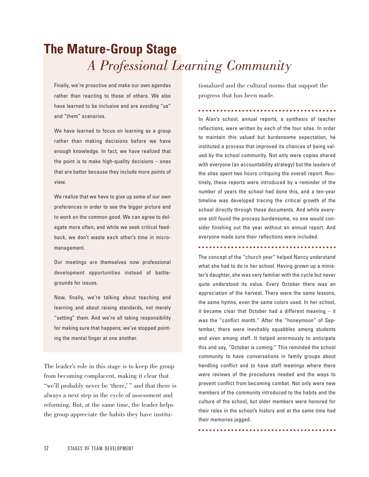### **The Mature-Group Stage** *A Professional Learning Community*

Finally, we're proactive and make our own agendas rather than reacting to those of others. We also have learned to be inclusive and are avoiding "us" and "them" scenarios.

We have learned to focus on learning as a group rather than making decisions before we have enough knowledge. In fact, we have realized that the point is to make high-quality decisions – ones that are better because they include more points of view.

We realize that we have to give up some of our own preferences in order to see the bigger picture and to work on the common good. We can agree to delegate more often, and while we seek critical feedback, we don't waste each other's time in micromanagement.

Our meetings are themselves now professional development opportunities instead of battlegrounds for issues.

Now, finally, we're talking about teaching and learning and about raising standards, not merely "setting" them. And we're all taking responsibility for making sure that happens; we've stopped pointing the mental finger at one another.

The leader's role in this stage is to keep the group from becoming complacent, making it clear that "we'll probably never be 'there,' " and that there is always a next step in the cycle of assessment and reforming. But, at the same time, the leader helps the group appreciate the habits they have institutionalized and the cultural norms that support the progress that has been made.

In Alan's school, annual reports, a synthesis of teacher reflections, were written by each of the four sites. In order to maintain this valued but burdensome expectation, he instituted a process that improved its chances of being valued by the school community. Not only were copies shared with everyone (an accountability strategy) but the leaders of the sites spent two hours critiquing the overall report. Routinely, these reports were introduced by a reminder of the number of years the school had done this, and a ten-year timeline was developed tracing the critical growth of the school directly through these documents. And while everyone still found the process burdensome, no one would consider finishing out the year without an annual report. And everyone made sure their reflections were included.

The concept of the "church year" helped Nancy understand what she had to do in her school. Having grown up a minister's daughter, she was very familiar with the cycle but never quite understood its value. Every October there was an appreciation of the harvest. There were the same lessons, the same hymns, even the same colors used. In her school, it became clear that October had a different meaning – it was the "conflict month." After the "honeymoon" of September, there were inevitably squabbles among students and even among staff. It helped enormously to anticipate this and say, "October is coming." This reminded the school community to have conversations in family groups about handling conflict and to have staff meetings where there were reviews of the procedures needed and the ways to prevent conflict from becoming combat. Not only were new members of the community introduced to the habits and the culture of the school, but older members were honored for their roles in the school's history and at the same time had their memories jogged.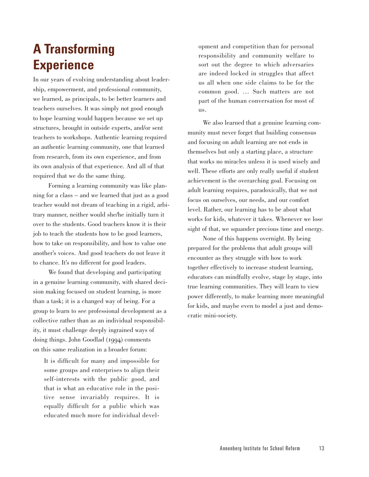### **A Transforming Experience**

In our years of evolving understanding about leadership, empowerment, and professional community, we learned, as principals, to be better learners and teachers ourselves. It was simply not good enough to hope learning would happen because we set up structures, brought in outside experts, and/or sent teachers to workshops. Authentic learning required an authentic learning community, one that learned from research, from its own experience, and from its own analysis of that experience. And all of that required that we do the same thing.

Forming a learning community was like planning for a class – and we learned that just as a good teacher would not dream of teaching in a rigid, arbitrary manner, neither would she/he initially turn it over to the students. Good teachers know it is their job to teach the students how to be good learners, how to take on responsibility, and how to value one another's voices. And good teachers do not leave it to chance. It's no different for good leaders.

We found that developing and participating in a genuine learning community, with shared decision making focused on student learning, is more than a task; it is a changed way of being. For a group to learn to see professional development as a collective rather than as an individual responsibility, it must challenge deeply ingrained ways of doing things. John Goodlad (1994) comments on this same realization in a broader forum:

It is difficult for many and impossible for some groups and enterprises to align their self-interests with the public good, and that is what an educative role in the positive sense invariably requires. It is equally difficult for a public which was educated much more for individual development and competition than for personal responsibility and community welfare to sort out the degree to which adversaries are indeed locked in struggles that affect us all when one side claims to be for the common good. … Such matters are not part of the human conversation for most of us.

We also learned that a genuine learning community must never forget that building consensus and focusing on adult learning are not ends in themselves but only a starting place, a structure that works no miracles unless it is used wisely and well. These efforts are only really useful if student achievement is the overarching goal. Focusing on adult learning requires, paradoxically, that we not focus on ourselves, our needs, and our comfort level. Rather, our learning has to be about what works for kids, whatever it takes. Whenever we lose sight of that, we squander precious time and energy.

None of this happens overnight. By being prepared for the problems that adult groups will encounter as they struggle with how to work together effectively to increase student learning, educators can mindfully evolve, stage by stage, into true learning communities. They will learn to view power differently, to make learning more meaningful for kids, and maybe even to model a just and democratic mini-society.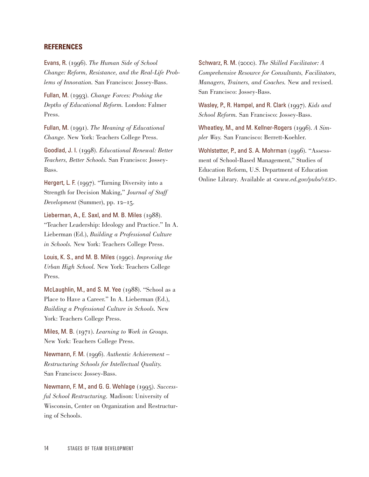#### **REFERENCES**

Evans, R. (). *The Human Side of School Change: Reform, Resistance, and the Real-Life Problems of Innovation.* San Francisco: Jossey-Bass.

Fullan, M. (1993). *Change Forces: Probing the Depths of Educational Reform.* London: Falmer Press.

Fullan, M. (1991). *The Meaning of Educational Change.* New York: Teachers College Press.

Goodlad, J. I. (). *Educational Renewal: Better Teachers, Better Schools.* San Francisco: Jossey-Bass.

Hergert, L. F. ( $1997$ ). "Turning Diversity into a Strength for Decision Making," *Journal of Staff Development* (Summer), pp.  $12-15$ .

Lieberman, A., E. Saxl, and M. B. Miles  $(1988)$ . "Teacher Leadership: Ideology and Practice." In A. Lieberman (Ed.), *Building a Professional Culture in Schools.* New York: Teachers College Press.

Louis, K. S., and M. B. Miles (). *Improving the Urban High School.* New York: Teachers College Press.

McLaughlin, M., and S. M. Yee  $(1988)$ . "School as a Place to Have a Career." In A. Lieberman (Ed.), *Building a Professional Culture in Schools.* New York: Teachers College Press.

Miles, M. B. (1971). *Learning to Work in Groups.* New York: Teachers College Press.

Newmann, F. M. (1996). Authentic Achievement – *Restructuring Schools for Intellectual Quality.* San Francisco: Jossey-Bass.

Newmann, F. M., and G. G. Wehlage (1995). *Successful School Restructuring.* Madison: University of Wisconsin, Center on Organization and Restructuring of Schools.

Schwarz, R. M. (2000). *The Skilled Facilitator: A Comprehensive Resource for Consultants, Facilitators, Managers, Trainers, and Coaches.* New and revised. San Francisco: Jossey-Bass.

Wasley, P., R. Hampel, and R. Clark (1997). *Kids and School Reform.* San Francisco: Jossey-Bass.

Wheatley, M., and M. Kellner-Rogers (1996). *A Simpler Way.* San Francisco: Berrett-Koehler.

Wohlstetter, P., and S. A. Mohrman  $(1996)$ . "Assessment of School-Based Management," Studies of Education Reform, U.S. Department of Education Online Library. Available at *<www.ed.gov/pubs/SER>*.